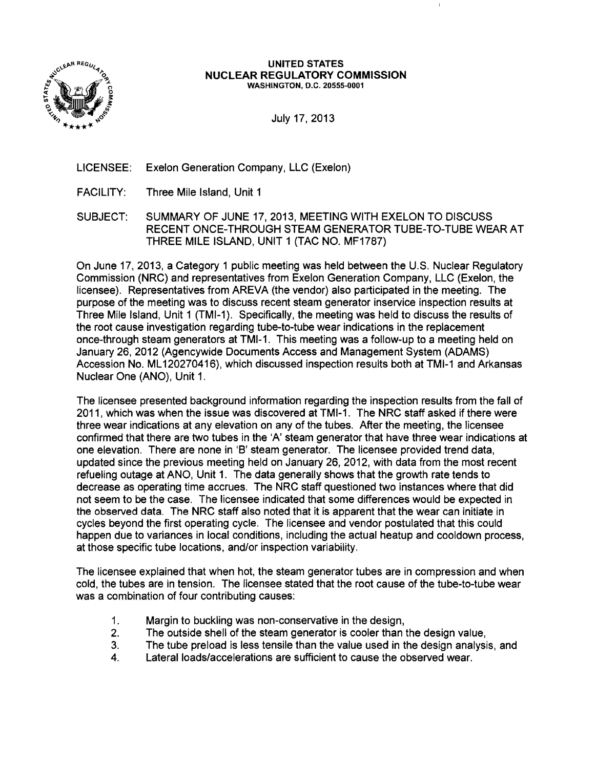

#### UNITED STATES **NUCLEAR REGULATORY COMMISSION WASHINGTON, D.C. 20555-0001**

- LICENSEE: Exelon Generation Company, LLC (Exelon)
- FACILITY: Three Mile Island, Unit 1
- SUBJECT: SUMMARY OF JUNE 17, 2013, MEETING WITH EXELON TO DISCUSS RECENT ONCE-THROUGH STEAM GENERATOR TUBE-TO-TUBE WEAR AT THREE MILE ISLAND, UNIT 1 (TAC NO. MF1787)

On June 17, 2013, a Category 1 public meeting was held between the U.S. Nuclear Regulatory Commission (NRC) and representatives from Exelon Generation Company, LLC (Exelon, the licensee). Representatives from AREVA (the vendor) also participated in the meeting. The purpose of the meeting was to discuss recent steam generator inservice inspection results at Three Mile Island, Unit 1 (TMI-1). Specifically, the meeting was held to discuss the results of the root cause investigation regarding tube-to-tube wear indications in the replacement once-through steam generators at TMI-1. This meeting was a follow-up to a meeting held on January 26,2012 (Agencywide Documents Access and Management System (ADAMS) Accession No. ML 120270416), which discussed inspection results both at TMI-1 and Arkansas Nuclear One (ANO), Unit 1.

The licensee presented background information regarding the inspection results from the fall of 2011, which was when the issue was discovered at TMI-1. The NRC staff asked if there were three wear indications at any elevation on any of the tubes. After the meeting, the licensee confirmed that there are two tubes in the 'A' steam generator that have three wear indications at one elevation. There are none in 'B' steam generator. The licensee provided trend data, updated since the previous meeting held on January 26, 2012, with data from the most recent refueling outage at ANO, Unit 1. The data generally shows that the growth rate tends to decrease as operating time accrues. The NRC staff questioned two instances where that did not seem to be the case. The licensee indicated that some differences would be expected in the observed data. The NRC staff also noted that it is apparent that the wear can initiate in cycles beyond the first operating cycle. The licensee and vendor postulated that this could happen due to variances in local conditions, including the actual heatup and cooldown process, at those specific tube locations, and/or inspection variability.

The licensee explained that when hot, the steam generator tubes are in compression and when cold, the tubes are in tension. The licensee stated that the root cause of the tube-to-tube wear was a combination of four contributing causes:

- 1. Margin to buckling was non-conservative in the design,
- 2. The outside shell of the steam generator is cooler than the design value,
- 3. The tube preload is less tensile than the value used in the design analysis, and
- 4. Lateral loads/accelerations are sufficient to cause the observed wear.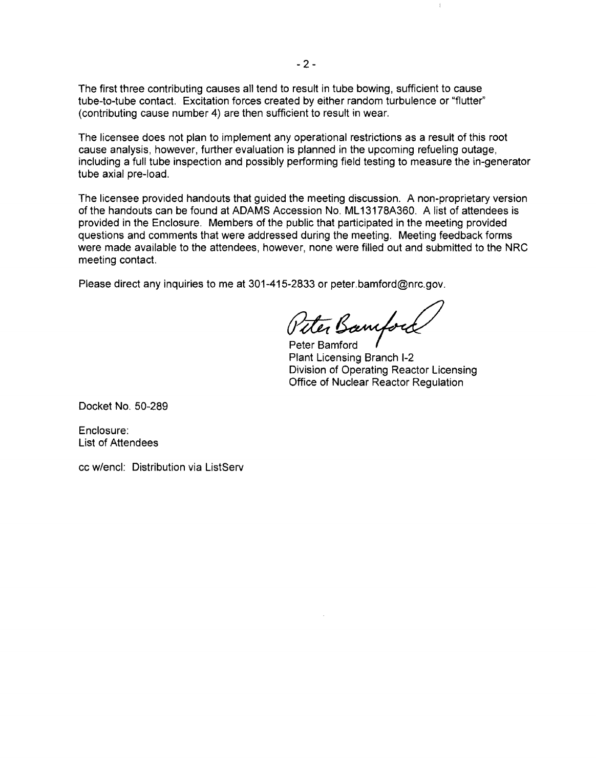The first three contributing causes all tend to result in tube bowing, sufficient to cause tube-to-tube contact. Excitation forces created by either random turbulence or "flutter" (contributing cause number 4) are then sufficient to result in wear.

The licensee does not plan to implement any operational restrictions as a result of this root cause analysis, however, further evaluation is planned in the upcoming refueling outage, including a full tube inspection and possibly performing field testing to measure the in-generator tube axial pre-load.

The licensee provided handouts that guided the meeting discussion. A non-proprietary version of the handouts can be found at ADAMS Accession No. ML 13178A360. A list of attendees is provided in the Enclosure. Members of the public that participated in the meeting provided questions and comments that were addressed during the meeting. Meeting feedback forms were made available to the attendees, however, none were filled out and submitted to the NRC meeting contact.

Please direct any inquiries to me at 301-415-2833 or peter.bamford@nrc.gov.

Peter Bamfort

Peter Bamford Plant Licensing Branch 1-2 Division of Operating Reactor Licensing Office of Nuclear Reactor Regulation

 $\mathbbm{1}$ 

Docket No. 50-289

Enclosure: List of Attendees

cc w/encl: Distribution via ListServ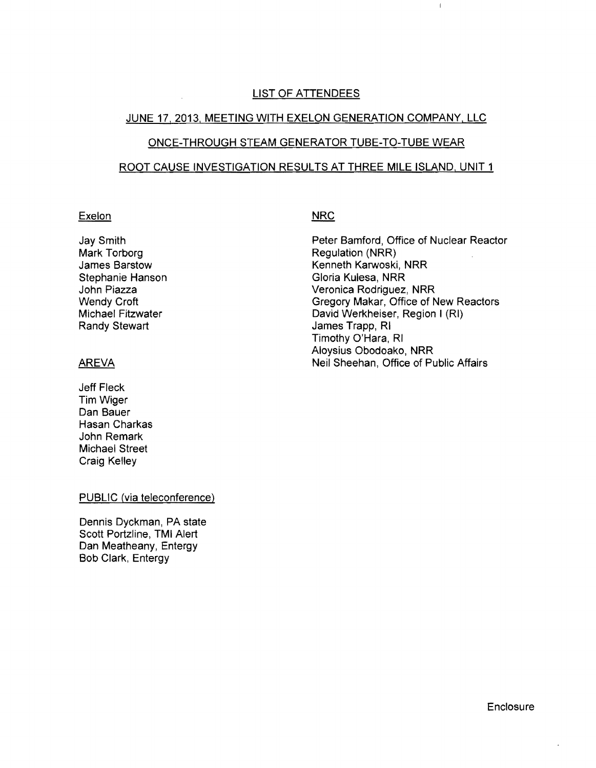#### LIST OF ATTENDEES

#### JUNE 17,2013, MEETING WITH EXELON GENERATION COMPANY, LLC

## ONCE-THROUGH STEAM GENERATOR TUBE-TO-TUBE WEAR

#### ROOT CAUSE INVESTIGATION RESULTS AT THREE MILE ISLAND, UNIT 1

#### Exelon

Jay Smith Mark Torborg James Barstow Stephanie Hanson John Piazza Wendy Croft Michael Fitzwater Randy Stewart

### AREVA

Jeff Fleck TimWiger Dan Bauer Hasan Charkas John Remark Michael Street Craig Kelley

#### PUBLIC (via teleconference)

Dennis Dyckman, PA state Scott Portzline, TMI Alert Dan Meatheany, Entergy Bob Clark, Entergy

# **NRC**

Peter Bamford, Office of Nuclear Reactor Regulation (NRR) Kenneth Karwoski, NRR Gloria Kulesa, NRR Veronica Rodriguez, NRR Gregory Makar, Office of New Reactors David Werkheiser, Region I (RI) James Trapp, RI Timothy O'Hara, RI Aloysius Obodoako, NRR Neil Sheehan, Office of Public Affairs

 $\mathsf{L}$